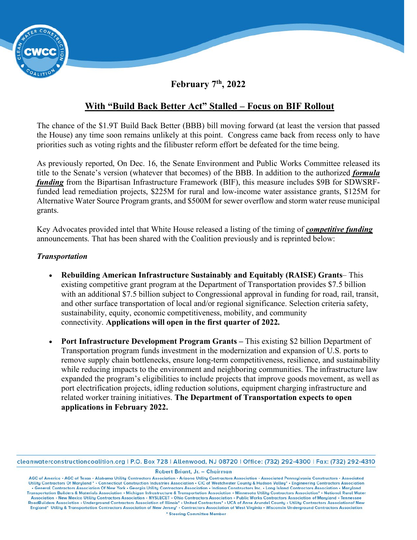

### **February 7th, 2022**

## **With "Build Back Better Act" Stalled – Focus on BIF Rollout**

The chance of the \$1.9T Build Back Better (BBB) bill moving forward (at least the version that passed the House) any time soon remains unlikely at this point. Congress came back from recess only to have priorities such as voting rights and the filibuster reform effort be defeated for the time being.

As previously reported, On Dec. 16, the Senate Environment and Public Works Committee released its title to the Senate's version (whatever that becomes) of the BBB. In addition to the authorized *formula funding* from the Bipartisan Infrastructure Framework (BIF), this measure includes \$9B for SDWSRFfunded lead remediation projects, \$225M for rural and low-income water assistance grants, \$125M for Alternative Water Source Program grants, and \$500M for sewer overflow and storm water reuse municipal grants.

Key Advocates provided intel that White House released a listing of the timing of *competitive funding* announcements. That has been shared with the Coalition previously and is reprinted below:

#### *Transportation*

- **[Rebuilding American Infrastructure Sustainably and Equitably \(RAISE\) Grants](https://news.buscoalition.com/EmailTracker/LinkTracker.ashx?linkAndRecipientCode=fMuD%2fa6XMAtgE1T7O52R2gzmlXTgGaLLjFelN%2bmkzNaUiRG143mbLeVRXIJK8pK68OTbuRgnDoaUROADcsCpxUXlkk22p79FipJjUmEtpSk%3d)** This existing competitive grant program at the Department of Transportation provides \$7.5 billion with an additional \$7.5 billion subject to Congressional approval in funding for road, rail, transit, and other surface transportation of local and/or regional significance. Selection criteria safety, sustainability, equity, economic competitiveness, mobility, and community connectivity. **Applications will open in the first quarter of 2022.**
- **[Port Infrastructure Development Program Grants](https://news.buscoalition.com/EmailTracker/LinkTracker.ashx?linkAndRecipientCode=JBB0BSk94rVgsqI1Z%2becHKGiCdcGEHB%2b%2bU8b6qAvlLVq1bIf3A2O%2bJziU0dXm%2fUrS%2fUI%2f0aOtRfYjKLZlmcN2Sanrb1rcn6%2f3N%2fM1nyVqmk%3d) –** This existing \$2 billion Department of Transportation program funds investment in the modernization and expansion of U.S. ports to remove supply chain bottlenecks, ensure long-term competitiveness, resilience, and sustainability while reducing impacts to the environment and neighboring communities. The infrastructure law expanded the program's eligibilities to include projects that improve goods movement, as well as port electrification projects, idling reduction solutions, equipment charging infrastructure and related worker training initiatives. **The Department of Transportation expects to open applications in February 2022.**

cleanwaterconstructioncoalition.org | P.O. Box 728 | Allenwood, NJ 08720 | Office: (732) 292-4300 | Fax: (732) 292-4310

Robert Briant, Jr. - Chairman

AGC of America • AGC of Texas • Alabama Utility Contractors Association • Arizona Utility Contractors Association • Associated Pennsylvania Constructors • Associated Utility Contractors Of Maryland \* · Connecticut Construction Industries Association · CIC of Westchester County & Hudson Valley\* · Engineering Contractors Association . General Contractors Association Of New York . Georgia Utility Contractors Association . Indiana Constructors Inc. . Long Island Contractors Association . Maryland Transportation Builders & Materials Association • Michigan Infrastructure & Transportation Association • Minnesota Utility Contractors Association\* • National Rural Water Association • New Mexico Utility Contractors Association • NYSLECET • Ohio Contractors Association • Public Works Contractors Association of Maryland • Tennessee<br>RoadBuilders Association • Underground Contractors Associati England\* Utility & Transportation Contractors Association of New Jersey\* - Contractors Association of West Virginia - Wisconsin Underground Contractors Association \* Steering Committee Member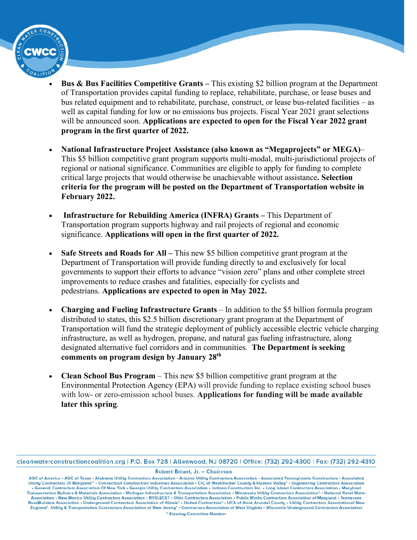- **[Bus & Bus Facilities Competitive Grants](https://news.buscoalition.com/EmailTracker/LinkTracker.ashx?linkAndRecipientCode=dkrXEbmnZVYwrqg9NvjJN0Y7RVEEc8JLWzN%2fb2bHfNWQrj4RLbfzBK6SL%2fDUVu8zlTPtsNAHrcBH%2fqY82IChNdVqpDXckP6KEXmhhYZsCRE%3d) –** This existing \$2 billion program at the Department of Transportation provides capital funding to replace, rehabilitate, purchase, or lease buses and bus related equipment and to rehabilitate, purchase, construct, or lease bus-related facilities – as well as capital funding for low or no emissions bus projects. Fiscal Year 2021 grant selections will be announced soon. **Applications are expected to open for the Fiscal Year 2022 grant program in the first quarter of 2022.**
- **National Infrastructure Project Assistance (also known as "Megaprojects" or MEGA)** This \$5 billion competitive grant program supports multi-modal, multi-jurisdictional projects of regional or national significance. Communities are eligible to apply for funding to complete critical large projects that would otherwise be unachievable without assistance**. Selection criteria for the program will be posted on the [Department of Transportation](https://news.buscoalition.com/EmailTracker/LinkTracker.ashx?linkAndRecipientCode=vpZHyFXKR8GdSGt6lUmbxOMcf2W3p%2fKt8mXRCzzKrf0zWrCNP2ANdPqVK7z%2bQFh8uho3Xh8mxgDac4g5cA%2bqXPZ0l2U3vEVsPt%2bvFsc%2bwdo%3d) website in February 2022.**
- **[Infrastructure for Rebuilding America \(INFRA\) Grants](https://news.buscoalition.com/EmailTracker/LinkTracker.ashx?linkAndRecipientCode=Qk%2bf67rSn6vKQ0c4D7gGfFRelWG8d6fHnjnhsrGvDjYIRcFqanZyFIl49ozII2946FftxQtHQG531aFflAM3BCnXipFsKYxQWBW78zEhZbI%3d) –** This Department of Transportation program supports highway and rail projects of regional and economic significance. **Applications will open in the first quarter of 2022.**
- **Safe Streets and Roads for All –** This new \$5 billion competitive grant program at the Department of Transportation will provide funding directly to and exclusively for local governments to support their efforts to advance "vision zero" plans and other complete street improvements to reduce crashes and fatalities, especially for cyclists and pedestrians. **Applications are expected to open in May 2022.**
- **Charging and Fueling Infrastructure Grants** In addition to the \$5 billion formula program distributed to states, this \$2.5 billion discretionary grant program at the Department of Transportation will fund the strategic deployment of publicly accessible electric vehicle charging infrastructure, as well as hydrogen, propane, and natural gas fueling infrastructure, along designated alternative fuel corridors and in communities. **The Department is seeking comments on program design by January 28th**
- **Clean School Bus Program** This new \$5 billion competitive grant program at the Environmental Protection Agency (EPA) will provide funding to replace existing school buses with low- or zero-emission school buses. **Applications for funding will be made available later this spring**.

cleanwaterconstructioncoalition.org | P.O. Box 728 | Allenwood, NJ 08720 | Office: (732) 292-4300 | Fax: (732) 292-4310

Robert Briant, Jr. - Chairman

AGC of America • AGC of Texas • Alabama Utility Contractors Association • Arizona Utility Contractors Association • Associated Pennsylvania Constructors • Associated Utility Contractors Of Maryland • • Connecticut Construc . General Contractors Association Of New York . Georgia Utility Contractors Association . Indiana Constructors Inc. . Long Island Contractors Association . Maryland Transportation Builders & Materials Association • Michigan Infrastructure & Transportation Association • Minnesota Utility Contractors Association\* • National Rural Water Association • New Mexico Utility Contractors Association • NYSLECET • Ohio Contractors Association • Public Works Contractors Association of Maryland • Tennessee<br>RoadBuilders Association • Underground Contractors Associati England\* Utility & Transportation Contractors Association of New Jersey\* - Contractors Association of West Virginia - Wisconsin Underground Contractors Association \* Steering Committee Member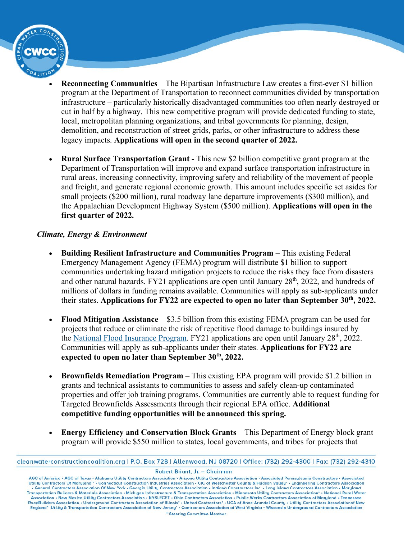- **Reconnecting Communities** The Bipartisan Infrastructure Law creates a first-ever \$1 billion program at the Department of Transportation to reconnect communities divided by transportation infrastructure – particularly historically disadvantaged communities too often nearly destroyed or cut in half by a highway. This new competitive program will provide dedicated funding to state, local, metropolitan planning organizations, and tribal governments for planning, design, demolition, and reconstruction of street grids, parks, or other infrastructure to address these legacy impacts. **Applications will open in the second quarter of 2022.**
- **Rural Surface Transportation Grant -** This new \$2 billion competitive grant program at the Department of Transportation will improve and expand surface transportation infrastructure in rural areas, increasing connectivity, improving safety and reliability of the movement of people and freight, and generate regional economic growth. This amount includes specific set asides for small projects (\$200 million), rural roadway lane departure improvements (\$300 million), and the Appalachian Development Highway System (\$500 million). **Applications will open in the first quarter of 2022.**

### *Climate, Energy & Environment*

- **[Building Resilient Infrastructure and Communities Program](https://news.buscoalition.com/EmailTracker/LinkTracker.ashx?linkAndRecipientCode=LgYuLCsU2s6TRJGcnL89wMucU4emTWi65DO0AqDDjUEpZhsiTwMVC4LuQdEYnIclWGB%2bkFR316RMf5OS9j2Xlbs3k3%2b%2b9pwNCUNzpCPulEw%3d)** This existing Federal Emergency Management Agency (FEMA) program will distribute \$1 billion to support communities undertaking hazard mitigation projects to reduce the risks they face from disasters and other natural hazards. FY21 applications are open until January 28<sup>th</sup>, 2022, and hundreds of millions of dollars in funding remains available. Communities will apply as sub-applicants under their states. **Applications for FY22 are expected to open no later than September 30th, 2022.**
- **[Flood Mitigation Assistance](https://news.buscoalition.com/EmailTracker/LinkTracker.ashx?linkAndRecipientCode=yDBbCXhj8t4sTRrl71kpUvpLI2hbWBB1J1t8S7zL4byBtMtueDGFaAAZuqEy6OdR5LuDZTlDbfn9gOoeUwPd7pfixUmkyc6pWiGjC%2b2IrXg%3d)** \$3.5 billion from this existing FEMA program can be used for projects that reduce or eliminate the risk of repetitive flood damage to buildings insured by the [National Flood Insurance Program.](https://news.buscoalition.com/EmailTracker/LinkTracker.ashx?linkAndRecipientCode=d6UNVEBgoV75Fk9NiIC5QR8ATyf5LF9bOv%2bu1RHIwgzcaVOVVCCnm137hxS8em3eFny8EPBuKW%2f9oK9YDMpm3v%2bYE3CCRrDhmvwsnVecsRY%3d) FY21 applications are open until January 28<sup>th</sup>, 2022. Communities will apply as sub-applicants under their states. **Applications for FY22 are expected to open no later than September 30th, 2022.**
- **[Brownfields Remediation Program](https://news.buscoalition.com/EmailTracker/LinkTracker.ashx?linkAndRecipientCode=El6QmRuamC%2fr61EmXPD0jT9%2f3%2fK9CWf%2bWMQBnfCFa2lcGc39uzDjFTvdBr%2fFLcjuIWs8H60nD16qUZiXQ0Md3dw0JQg5myyvcjcvoUwpRI8%3d)** This existing EPA program will provide \$1.2 billion in grants and technical assistants to communities to assess and safely clean-up contaminated properties and offer job training programs. Communities are currently able to request funding for Targeted Brownfields Assessments through their regional EPA office. **Additional competitive funding opportunities will be announced this spring.**
- **[Energy Efficiency and Conservation Block Grants](https://news.buscoalition.com/EmailTracker/LinkTracker.ashx?linkAndRecipientCode=DRaOZngxuDUqlo7k8iFPI71sDdwht7rJ5q9qUbaSfw5YfbmITg3me9zcBmZCkD5ehvuuZ6HWSZnQtN3AhjzHtaLiMheaVgdGDq21h%2fpapTQ%3d)** This Department of Energy block grant program will provide \$550 million to states, local governments, and tribes for projects that

Robert Briant, Jr. - Chairman

AGC of America • AGC of Texas • Alabama Utility Contractors Association • Arizona Utility Contractors Association • Associated Pennsylvania Constructors • Associated Utility Contractors Of Maryland • • Connecticut Construc . General Contractors Association Of New York . Georgia Utility Contractors Association . Indiana Constructors Inc. . Long Island Contractors Association . Maryland Transportation Builders & Materials Association • Michigan Infrastructure & Transportation Association • Minnesota Utility Contractors Association\* • National Rural Water Association • New Mexico Utility Contractors Association • NYSLECET • Ohio Contractors Association • Public Works Contractors Association of Maryland • Tennessee<br>RoadBuilders Association • Underground Contractors Associati England\* Utility & Transportation Contractors Association of New Jersey\* - Contractors Association of West Virginia - Wisconsin Underground Contractors Association \* Steering Committee Member

cleanwaterconstructioncoalition.org | P.O. Box 728 | Allenwood, NJ 08720 | Office: (732) 292-4300 | Fax: (732) 292-4310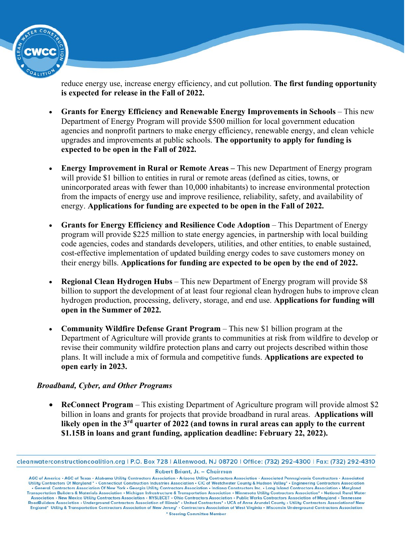

reduce energy use, increase energy efficiency, and cut pollution. **The first funding opportunity is expected for release in the Fall of 2022.**

- **Grants for Energy Efficiency and Renewable Energy Improvements in Schools** This new Department of Energy Program will provide \$500 million for local government education agencies and nonprofit partners to make energy efficiency, renewable energy, and clean vehicle upgrades and improvements at public schools. **The opportunity to apply for funding is expected to be open in the Fall of 2022.**
- **Energy Improvement in Rural or Remote Areas –** This new Department of Energy program will provide \$1 billion to entities in rural or remote areas (defined as cities, towns, or unincorporated areas with fewer than 10,000 inhabitants) to increase environmental protection from the impacts of energy use and improve resilience, reliability, safety, and availability of energy. **Applications for funding are expected to be open in the Fall of 2022.**
- **Grants for Energy Efficiency and Resilience Code Adoption** This Department of Energy program will provide \$225 million to state energy agencies, in partnership with local building code agencies, codes and standards developers, utilities, and other entities, to enable sustained, cost-effective implementation of updated building energy codes to save customers money on their energy bills. **Applications for funding are expected to be open by the end of 2022.**
- **Regional Clean Hydrogen Hubs** This new Department of Energy program will provide \$8 billion to support the development of at least four regional clean hydrogen hubs to improve clean hydrogen production, processing, delivery, storage, and end use. **Applications for funding will open in the Summer of 2022.**
- **Community Wildfire Defense Grant Program** This new \$1 billion program at the Department of Agriculture will provide grants to communities at risk from wildfire to develop or revise their community wildfire protection plans and carry out projects described within those plans. It will include a mix of formula and competitive funds. **Applications are expected to open early in 2023.**

### *Broadband, Cyber, and Other Programs*

• **[ReConnect Program](https://news.buscoalition.com/EmailTracker/LinkTracker.ashx?linkAndRecipientCode=j%2fbdrtmFZfts9v62qD5gSpg%2fifZlV%2bWFaunOufgjPLf0zmUrXni8MWQH%2fewn4%2b1fXQAbl3ZaI3fC1e296iFykwhJn4gtZHBUSNvFB4B1h5M%3d)** – This existing Department of Agriculture program will provide almost \$2 billion in loans and grants for projects that provide broadband in rural areas. **Applications will likely open in the 3rd quarter of 2022 (and towns in rural areas can apply to the current \$1.15B in loans and grant funding, application deadline: February 22, 2022).**

Robert Briant, Jr. - Chairman

cleanwaterconstructioncoalition.org | P.O. Box 728 | Allenwood, NJ 08720 | Office: (732) 292-4300 | Fax: (732) 292-4310

AGC of America • AGC of Texas • Alabama Utility Contractors Association • Arizona Utility Contractors Association • Associated Pennsylvania Constructors • Associated Utility Contractors Of Maryland • • Connecticut Construc . General Contractors Association Of New York . Georgia Utility Contractors Association . Indiana Constructors Inc. . Long Island Contractors Association . Maryland Transportation Builders & Materials Association • Michigan Infrastructure & Transportation Association • Minnesota Utility Contractors Association\* • National Rural Water Association • New Mexico Utility Contractors Association • NYSLECET • Ohio Contractors Association • Public Works Contractors Association of Maryland • Tennessee<br>RoadBuilders Association • Underground Contractors Associati England\* Utility & Transportation Contractors Association of New Jersey\* - Contractors Association of West Virginia - Wisconsin Underground Contractors Association \* Steering Committee Member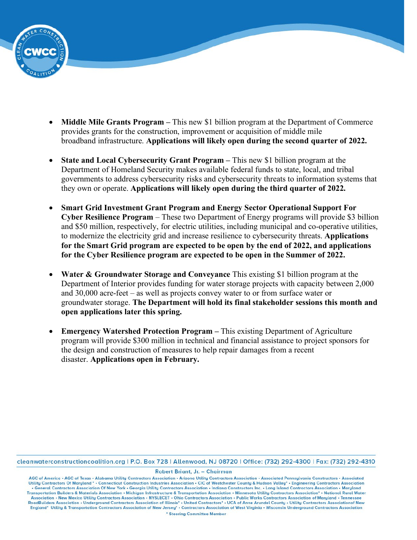

- **Middle Mile Grants Program –** This new \$1 billion program at the Department of Commerce provides grants for the construction, improvement or acquisition of middle mile broadband infrastructure. **Applications will likely open during the second quarter of 2022.**
- **State and Local Cybersecurity Grant Program –** This new \$1 billion program at the Department of Homeland Security makes available federal funds to state, local, and tribal governments to address cybersecurity risks and cybersecurity threats to information systems that they own or operate. **Applications will likely open during the third quarter of 2022.**
- **Smart Grid Investment Grant Program and Energy Sector Operational Support For Cyber Resilience Program** – These two Department of Energy programs will provide \$3 billion and \$50 million, respectively, for electric utilities, including municipal and co-operative utilities, to modernize the electricity grid and increase resilience to cybersecurity threats. **Applications for the Smart Grid program are expected to be open by the end of 2022, and applications for the Cyber Resilience program are expected to be open in the Summer of 2022.**
- **Water & Groundwater Storage and Conveyance** This existing \$1 billion program at the Department of Interior provides funding for water storage projects with capacity between 2,000 and 30,000 acre-feet – as well as projects convey water to or from surface water or groundwater storage. **The Department will hold its final stakeholder sessions this month and open applications later this spring.**
- **[Emergency Watershed Protection Program](https://news.buscoalition.com/EmailTracker/LinkTracker.ashx?linkAndRecipientCode=xs13aW2AxUAcHF03b%2bTQ6PSE%2fg0ZBRZVXu6t0urHihvnOr1l%2fQ8ZL3HgVrHfNh8xYoe9u2LV%2bsHSJMlyRAZ%2bCbS9qkyEFuh%2bcipRuQN39Yw%3d) –** This existing Department of Agriculture program will provide \$300 million in technical and financial assistance to project sponsors for the design and construction of measures to help repair damages from a recent disaster. **Applications open in February.**

cleanwaterconstructioncoalition.org | P.O. Box 728 | Allenwood, NJ 08720 | Office: (732) 292-4300 | Fax: (732) 292-4310

Robert Briant, Jr. - Chairman

AGC of America • AGC of Texas • Alabama Utility Contractors Association • Arizona Utility Contractors Association • Associated Pennsylvania Constructors • Associated Utility Contractors Of Maryland \* . Connecticut Construction Industries Association . CIC of Westchester County & Hudson Valley\* . Engineering Contractors Association . General Contractors Association Of New York . Georgia Utility Contractors Association . Indiana Constructors Inc. . Long Island Contractors Association . Maryland Transportation Builders & Materials Association • Michigan Infrastructure & Transportation Association • Minnesota Utility Contractors Association\* • National Rural Water Association • New Mexico Utility Contractors Association • NYSLECET • Ohio Contractors Association • Public Works Contractors Association of Maryland • Tennessee<br>RoadBuilders Association • Underground Contractors Associati England\* Utility & Transportation Contractors Association of New Jersey\* - Contractors Association of West Virginia - Wisconsin Underground Contractors Association \* Steering Committee Member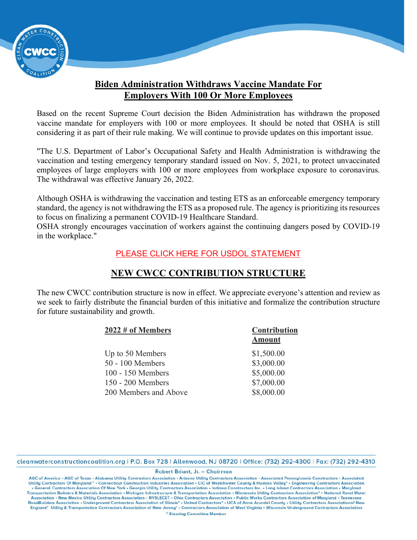

# **Biden Administration Withdraws Vaccine Mandate For Employers With 100 Or More Employees**

Based on the recent Supreme Court decision the Biden Administration has withdrawn the proposed vaccine mandate for employers with 100 or more employees. It should be noted that OSHA is still considering it as part of their rule making. We will continue to provide updates on this important issue.

"The U.S. Department of Labor's Occupational Safety and Health Administration is withdrawing the vaccination and testing emergency temporary standard issued on Nov. 5, 2021, to protect unvaccinated employees of large employers with 100 or more employees from workplace exposure to coronavirus. The [withdrawal](https://r20.rs6.net/tn.jsp?f=001Hbd_pEEVbDl2B1R9glJ_0pzh7JQMgxpjJTOFyMi6-2bxaMRqyvGTuoCjuEjZOkgantYJWq1Np_xJan-RYHO7aq5z9bywctPICEl3XfdOQpq7umjvmfOc7EIOiLXEp1pPk0QBNRZOmw5giKegRjoF7y_IuCjseEaaRozBCUQzpmRxIdYvxZ1ae4HxT4jzGQ0zGKnKb9fAUryHLY1h_fCMVFOsQYQ3Rk2AA21sBbZAHMQPEySKVVQPDtiBljH1YcxumIynZkQGmdBq-ZPeKn7xTA==&c=9KzCM6mACIKLNp_wzA6ytAOEveTI-YL9mCA176rlFMDYIwjbdtyrBQ==&ch=grlIv3UZrGN22-3UmnecTztQydN4sLGeBLmfJrw6LTxr-FanddPYVQ==) was effective January 26, 2022.

Although OSHA is withdrawing the vaccination and testing ETS as an enforceable emergency temporary standard, the agency is not withdrawing the ETS as a proposed rule. The agency is prioritizing its resources to focus on finalizing a permanent COVID-19 Healthcare Standard.

OSHA strongly encourages vaccination of workers against the continuing dangers posed by COVID-19 in the workplace."

### [PLEASE CLICK HERE FOR USDOL STATEMENT](https://r20.rs6.net/tn.jsp?f=001Hbd_pEEVbDl2B1R9glJ_0pzh7JQMgxpjJTOFyMi6-2bxaMRqyvGTuoCjuEjZOkgaGktECvcOwxRU6vYPzQSgaABDHxcitluPKM8aw5nma6LEnWqxkqAb5P1MsTNS_ZuuLc4JjKf41LbQdN_WgAtpn2dGEukKKp4K5rEWEUu20A0=&c=9KzCM6mACIKLNp_wzA6ytAOEveTI-YL9mCA176rlFMDYIwjbdtyrBQ==&ch=grlIv3UZrGN22-3UmnecTztQydN4sLGeBLmfJrw6LTxr-FanddPYVQ==)

## **NEW CWCC CONTRIBUTION STRUCTURE**

The new CWCC contribution structure is now in effect. We appreciate everyone's attention and review as we seek to fairly distribute the financial burden of this initiative and formalize the contribution structure for future sustainability and growth.

| $2022 \#$ of Members  | Contribution  |  |
|-----------------------|---------------|--|
|                       | <b>Amount</b> |  |
| Up to 50 Members      | \$1,500.00    |  |
| 50 - 100 Members      | \$3,000.00    |  |
| 100 - 150 Members     | \$5,000.00    |  |
| 150 - 200 Members     | \$7,000.00    |  |
| 200 Members and Above | \$8,000.00    |  |

cleanwaterconstructioncoalition.org | P.O. Box 728 | Allenwood, NJ 08720 | Office: (732) 292-4300 | Fax: (732) 292-4310

Robert Briant, Jr. - Chairman

AGC of America • AGC of Texas • Alabama Utility Contractors Association • Arizona Utility Contractors Association • Associated Pennsylvania Constructors • Associated Utility Contractors Of Maryland \* · Connecticut Construction Industries Association · CIC of Westchester County & Hudson Valley\* · Engineering Contractors Association . General Contractors Association Of New York . Georgia Utility Contractors Association . Indiana Constructors Inc. . Long Island Contractors Association . Maryland Transportation Builders & Materials Association • Michigan Infrastructure & Transportation Association • Minnesota Utility Contractors Association\* • National Rural Water Association • New Mexico Utility Contractors Association • NYSLECET • Ohio Contractors Association • Public Works Contractors Association of Maryland • Tennessee<br>RoadBuilders Association • Underground Contractors Associati England\* Utility & Transportation Contractors Association of New Jersey\* . Contractors Association of West Virginia . Wisconsin Underground Contractors Association \* Steering Committee Member